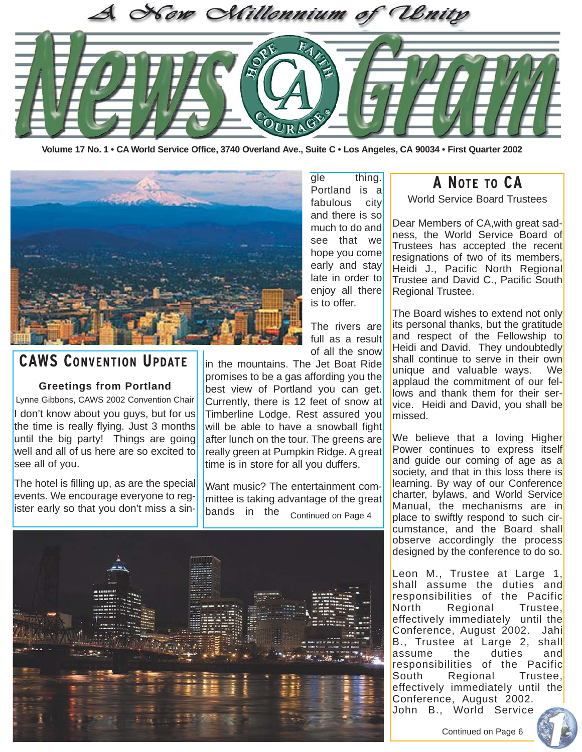

**Volume 17 No. 1 • CA World Service Office, 3740 Overland Ave., Suite C • Los Angeles, CA 90034 • First Quarter 2002**



**CAWS CONVENTION UPDATE**

#### **Greetings from Portland**

Lynne Gibbons, CAWS 2002 Convention Chair I don't know about you guys, but for us the time is really flying. Just 3 months until the big party! Things are going well and all of us here are so excited to see all of you.

The hotel is filling up, as are the special events. We encourage everyone to register early so that you don't miss a single thing. Portland is a fabulous city and there is so much to do and see that we hope you come early and stay late in order to enjoy all there is to offer.

The rivers are full as a result of all the snow

in the mountains. The Jet Boat Ride promises to be a gas affording you the best view of Portland you can get. Currently, there is 12 feet of snow at Timberline Lodge. Rest assured you will be able to have a snowball fight after lunch on the tour. The greens are really green at Pumpkin Ridge. A great time is in store for all you duffers.

Want music? The entertainment committee is taking advantage of the great bands in the <sub>Continued on Page 4</sub>



### **A NOTE TO CA**

World Service Board Trustees

Dear Members of CA,with great sadness, the World Service Board of Trustees has accepted the recent resignations of two of its members, Heidi J., Pacific North Regional Trustee and David C., Pacific South Regional Trustee.

The Board wishes to extend not only its personal thanks, but the gratitude and respect of the Fellowship to Heidi and David. They undoubtedly shall continue to serve in their own unique and valuable ways. We applaud the commitment of our fellows and thank them for their service. Heidi and David, you shall be missed.

We believe that a loving Higher Power continues to express itself and guide our coming of age as a society, and that in this loss there is learning. By way of our Conference charter, bylaws, and World Service Manual, the mechanisms are in place to swiftly respond to such circumstance, and the Board shall observe accordingly the process designed by the conference to do so.

Leon M., Trustee at Large 1, shall assume the duties and responsibilities of the Pacific North Regional Trustee, effectively immediately until the Conference, August 2002. Jahi B., Trustee at Large 2, shall assume the duties and responsibilities of the Pacific South Regional Trustee, effectively immediately until the Conference, August 2002. John B., World Service

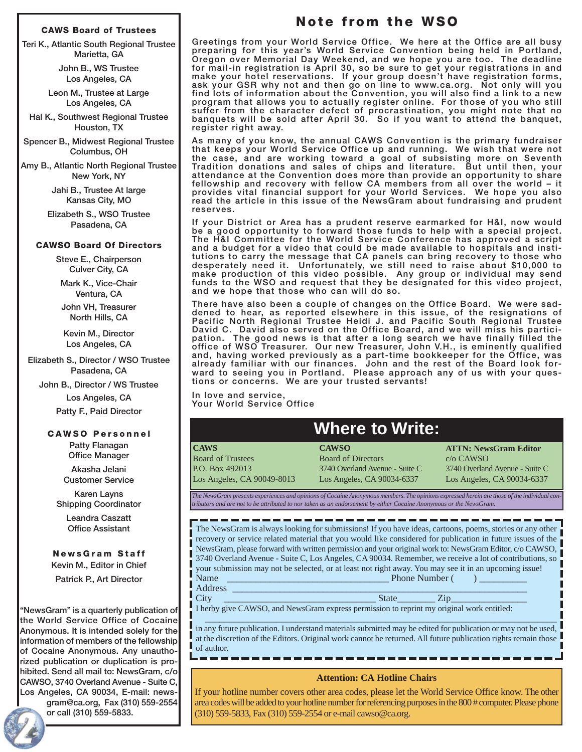#### **CAWS Board of Trustees**

**Teri K., Atlantic South Regional Trustee Marietta, GA**

> **John B., WS Trustee Los Angeles, CA**

**Leon M., Trustee at Large Los Angeles, CA**

**Hal K., Southwest Regional Trustee Houston, TX**

**Spencer B., Midwest Regional Trustee Columbus, OH**

**Amy B., Atlantic North Regional Trustee New York, NY**

> **Jahi B., Trustee At large Kansas City, MO**

**Elizabeth S., WSO Trustee Pasadena, CA**

#### **CAWSO Board Of Directors**

**Steve E., Chairperson Culver City, CA**

**Mark K., Vice-Chair Ventura, CA**

**John VH, Treasurer North Hills, CA**

**Kevin M., Director Los Angeles, CA**

**Elizabeth S., Director / WSO Trustee Pasadena, CA**

**John B., Director / WS Trustee**

**Los Angeles, CA Patty F., Paid Director**

#### **CAWSO Personnel**

**Patty Flanagan Office Manager**

**Akasha Jelani Customer Service**

**Karen Layns Shipping Coordinator**

> **Leandra Caszatt Office Assistant**

**NewsGram Staff Kevin M., Editor in Chief Patrick P., Art Director**

**"NewsGram" is a quarterly publication of the World Service Office of Cocaine Anonymous. It is intended solely for the information of members of the fellowship of Cocaine Anonymous. Any unauthorized publication or duplication is prohibited. Send all mail to: NewsGram, c/o CAWSO, 3740 Overland Avenue - Suite C, Los Angeles, CA 90034, E-mail: newsgram@ca.org, Fax (310) 559-2554**

**or call (310) 559-5833.**

### **Note from the WSO**

**Greetings from your World Service Office. We here at the Office are all busy preparing for this year's World Service Convention being held in Portland, Oregon over Memorial Day Weekend, and we hope you are too. The deadline for mail-in registration is April 30, so be sure to get your registrations in and make your hotel reservations. If your group doesn't have registration forms, ask your GSR why not and then go on line to www.ca.org. Not only will you find lots of information about the Convention, you will also find a link to a new program that allows you to actually register online. For those of you who still suffer from the character defect of procrastination, you might note that no banquets will be sold after April 30. So if you want to attend the banquet, register right away.**

**As many of you know, the annual CAWS Convention is the primary fundraiser that keeps your World Service Office up and running. We wish that were not the case, and are working toward a goal of subsisting more on Seventh Tradition donations and sales of chips and literature. But until then, your attendance at the Convention does more than provide an opportunity to share fellowship and recovery with fellow CA members from all over the world – it provides vital financial support for your World Services. We hope you also read the article in this issue of the NewsGram about fundraising and prudent reserves.**

**If your District or Area has a prudent reserve earmarked for H&I, now would be a good opportunity to forward those funds to help with a special project. The H&I Committee for the World Service Conference has approved a script and a budget for a video that could be made available to hospitals and institutions to carry the message that CA panels can bring recovery to those who desperately need it. Unfortunately, we still need to raise about \$10,000 to make production of this video possible. Any group or individual may send funds to the WSO and request that they be designated for this video project, and we hope that those who can will do so.**

**There have also been a couple of changes on the Office Board. We were saddened to hear, as reported elsewhere in this issue, of the resignations of Pacific North Regional Trustee Heidi J. and Pacific South Regional Trustee David C. David also served on the Office Board, and we will miss his participation. The good news is that after a long search we have finally filled the office of WSO Treasurer. Our new Treasurer, John V.H., is eminently qualified and, having worked previously as a part-time bookkeeper for the Office, was already familiar with our finances. John and the rest of the Board look forward to seeing you in Portland. Please approach any of us with your questions or concerns. We are your trusted servants!**

**In love and service, Your World Service Office**

# **Where to Write:**

**CAWS** Board of Trustees P.O. Box 492013 Los Angeles, CA 90049-8013

**CAWSO** Board of Directors 3740 Overland Avenue - Suite C Los Angeles, CA 90034-6337

**ATTN: NewsGram Editor** c/o CAWSO 3740 Overland Avenue - Suite C Los Angeles, CA 90034-6337

*The NewsGram presents experiences and opinions of Cocaine Anonymous members. The opinions expressed herein are those of the individual contributors and are not to be attributed to nor taken as an endorsement by either Cocaine Anonymous or the NewsGram.*

The NewsGram is always looking for submissions! If you have ideas, cartoons, poems, stories or any other recovery or service related material that you would like considered for publication in future issues of the NewsGram, please forward with written permission and your original work to: NewsGram Editor, c/o CAWSO, 3740 Overland Avenue - Suite C, Los Angeles, CA 90034. Remember, we receive a lot of contributions, so your submission may not be selected, or at least not right away. You may see it in an upcoming issue! Name \_\_\_\_\_\_\_\_\_\_\_\_\_\_\_\_\_\_\_\_\_\_\_\_\_\_\_\_\_\_\_\_\_\_ Phone Number ( ) \_\_\_\_\_\_\_\_\_\_

- Address \_\_\_\_\_\_\_\_\_\_\_\_\_\_\_\_\_\_\_\_\_\_\_\_\_\_\_\_\_\_\_\_\_\_\_\_\_\_\_\_\_\_\_\_\_\_\_\_\_\_\_\_\_\_\_\_\_\_\_\_\_\_
- 

 $\text{City}$   $\qquad \qquad \qquad \qquad \qquad \qquad \qquad \text{State} \qquad \qquad \text{Zip} \qquad \qquad \qquad$ I herby give CAWSO, and NewsGram express permission to reprint my original work entitled:

 $\_$  , and the set of the set of the set of the set of the set of the set of the set of the set of the set of the set of the set of the set of the set of the set of the set of the set of the set of the set of the set of th in any future publication. I understand materials submitted may be edited for publication or may not be used, at the discretion of the Editors. Original work cannot be returned. All future publication rights remain those of author.

#### **Attention: CA Hotline Chairs**

If your hotline number covers other area codes, please let the World Service Office know. The other area codes will be added to your hotline number for referencing purposes in the 800 # computer. Please phone (310) 559-5833, Fax (310) 559-2554 or e-mail cawso@ca.org.

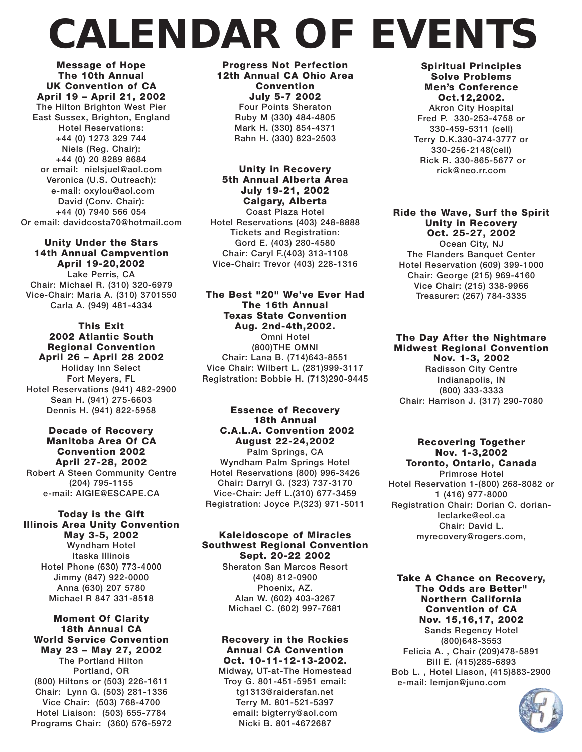# *CALENDAR OF EVENTS*

**Message of Hope The 10th Annual UK Convention of CA April 19 – April 21, 2002 The Hilton Brighton West Pier East Sussex, Brighton, England Hotel Reservations: +44 (0) 1273 329 744 Niels (Reg. Chair): +44 (0) 20 8289 8684 or email: nielsjuel@aol.com Veronica (U.S. Outreach): e-mail: oxylou@aol.com David (Conv. Chair): +44 (0) 7940 566 054 Or email: davidcosta70@hotmail.com**

#### **Unity Under the Stars 14th Annual Campvention**

**April 19-20,2002 Lake Perris, CA Chair: Michael R. (310) 320-6979 Vice-Chair: Maria A. (310) 3701550 Carla A. (949) 481-4334**

#### **This Exit 2002 Atlantic South Regional Convention April 26 – April 28 2002**

**Holiday Inn Select Fort Meyers, FL Hotel Reservations (941) 482-2900 Sean H. (941) 275-6603 Dennis H. (941) 822-5958**

#### **Decade of Recovery Manitoba Area Of CA Convention 2002 April 27-28, 2002 Robert A Steen Community Centre (204) 795-1155 e-mail: AIGIE@ESCAPE.CA**

#### **Today is the Gift Illinois Area Unity Convention May 3-5, 2002**

**Wyndham Hotel Itaska Illinois Hotel Phone (630) 773-4000 Jimmy (847) 922-0000 Anna (630) 207 5780 Michael R 847 331-8518**

#### **Moment Of Clarity 18th Annual CA World Service Convention May 23 – May 27, 2002 The Portland Hilton Portland, OR (800) Hiltons or (503) 226-1611 Chair: Lynn G. (503) 281-1336 Vice Chair: (503) 768-4700 Hotel Liaison: (503) 655-7784 Programs Chair: (360) 576-5972**

**Progress Not Perfection 12th Annual CA Ohio Area Convention July 5-7 2002 Four Points Sheraton Ruby M (330) 484-4805 Mark H. (330) 854-4371 Rahn H. (330) 823-2503**

#### **Unity in Recovery 5th Annual Alberta Area July 19-21, 2002 Calgary, Alberta**

**Coast Plaza Hotel Hotel Reservations (403) 248-8888 Tickets and Registration: Gord E. (403) 280-4580 Chair: Caryl F.(403) 313-1108 Vice-Chair: Trevor (403) 228-1316**

#### **The Best "20" We've Ever Had The 16th Annual Texas State Convention Aug. 2nd-4th,2002.**

**Omni Hotel (800)THE OMNI Chair: Lana B. (714)643-8551 Vice Chair: Wilbert L. (281)999-3117 Registration: Bobbie H. (713)290-9445**

#### **Essence of Recovery 18th Annual C.A.L.A. Convention 2002 August 22-24,2002**

**Palm Springs, CA Wyndham Palm Springs Hotel Hotel Reservations (800) 996-3426 Chair: Darryl G. (323) 737-3170 Vice-Chair: Jeff L.(310) 677-3459 Registration: Joyce P.(323) 971-5011**

#### **Kaleidoscope of Miracles Southwest Regional Convention Sept. 20-22 2002**

**Sheraton San Marcos Resort (408) 812-0900 Phoenix, AZ. Alan W. (602) 403-3267 Michael C. (602) 997-7681**

#### **Recovery in the Rockies Annual CA Convention Oct. 10-11-12-13-2002.**

**Midway, UT-at-The Homestead Troy G. 801-451-5951 email: tg1313@raidersfan.net Terry M. 801-521-5397 email: bigterry@aol.com Nicki B. 801-4672687**

#### **Spiritual Principles Solve Problems Men's Conference Oct.12,2002.**

**Akron City Hospital Fred P. 330-253-4758 or 330-459-5311 (cell) Terry D.K.330-374-3777 or 330-256-2148(cell) Rick R. 330-865-5677 or rick@neo.rr.com**

**Ride the Wave, Surf the Spirit Unity in Recovery Oct. 25-27, 2002 Ocean City, NJ**

**The Flanders Banquet Center Hotel Reservation (609) 399-1000 Chair: George (215) 969-4160 Vice Chair: (215) 338-9966 Treasurer: (267) 784-3335**

#### **The Day After the Nightmare Midwest Regional Convention Nov. 1-3, 2002 Radisson City Centre Indianapolis, IN (800) 333-3333 Chair: Harrison J. (317) 290-7080**

#### **Recovering Together Nov. 1-3,2002 Toronto, Ontario, Canada**

**Primrose Hotel Hotel Reservation 1-(800) 268-8082 or 1 (416) 977-8000 Registration Chair: Dorian C. dorianleclarke@eol.ca Chair: David L. myrecovery@rogers.com,** 

**Take A Chance on Recovery, The Odds are Better" Northern California Convention of CA Nov. 15,16,17, 2002 Sands Regency Hotel (800)648-3553 Felicia A. , Chair (209)478-5891 Bill E. (415)285-6893 Bob L. , Hotel Liason, (415)883-2900 e-mail: lemjon@juno.com**

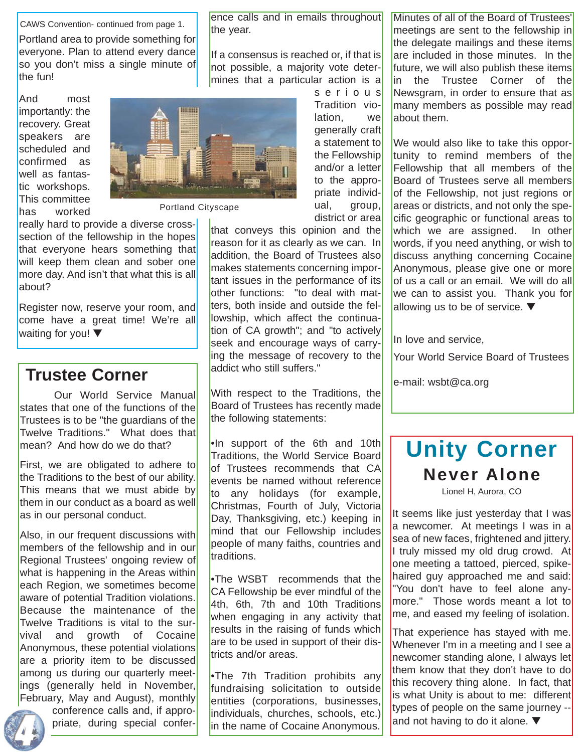CAWS Convention- continued from page 1.

Portland area to provide something for everyone. Plan to attend every dance so you don't miss a single minute of the fun!

And most importantly: the recovery. Great speakers are scheduled and confirmed as well as fantastic workshops. This committee has worked



Portland Cityscape

really hard to provide a diverse crosssection of the fellowship in the hopes that everyone hears something that will keep them clean and sober one more day. And isn't that what this is all about?

Register now, reserve your room, and come have a great time! We're all waiting for you! ▼

## **Trustee Corner**

Our World Service Manual states that one of the functions of the Trustees is to be "the guardians of the Twelve Traditions." What does that mean? And how do we do that?

First, we are obligated to adhere to the Traditions to the best of our ability. This means that we must abide by them in our conduct as a board as well as in our personal conduct.

Also, in our frequent discussions with members of the fellowship and in our Regional Trustees' ongoing review of what is happening in the Areas within each Region, we sometimes become aware of potential Tradition violations. Because the maintenance of the Twelve Traditions is vital to the survival and growth of Cocaine Anonymous, these potential violations are a priority item to be discussed among us during our quarterly meetings (generally held in November, February, May and August), monthly

conference calls and, if appropriate, during special conference calls and in emails throughout the year.

If a consensus is reached or, if that is not possible, a majority vote determines that a particular action is a

> serious Tradition violation, we generally craft a statement to the Fellowship and/or a letter to the appropriate individual, group, district or area

that conveys this opinion and the reason for it as clearly as we can. In addition, the Board of Trustees also makes statements concerning important issues in the performance of its other functions: "to deal with matters, both inside and outside the fellowship, which affect the continuation of CA growth"; and "to actively seek and encourage ways of carrying the message of recovery to the addict who still suffers."

With respect to the Traditions, the Board of Trustees has recently made the following statements:

•In support of the 6th and 10th Traditions, the World Service Board of Trustees recommends that CA events be named without reference to any holidays (for example, Christmas, Fourth of July, Victoria Day, Thanksgiving, etc.) keeping in mind that our Fellowship includes people of many faiths, countries and traditions.

•The WSBT recommends that the CA Fellowship be ever mindful of the 4th, 6th, 7th and 10th Traditions when engaging in any activity that results in the raising of funds which are to be used in support of their districts and/or areas.

•The 7th Tradition prohibits any fundraising solicitation to outside entities (corporations, businesses, individuals, churches, schools, etc.) in the name of Cocaine Anonymous.

Minutes of all of the Board of Trustees' meetings are sent to the fellowship in the delegate mailings and these items are included in those minutes. In the future, we will also publish these items in the Trustee Corner of the Newsgram, in order to ensure that as many members as possible may read about them.

We would also like to take this opportunity to remind members of the Fellowship that all members of the Board of Trustees serve all members of the Fellowship, not just regions or areas or districts, and not only the specific geographic or functional areas to which we are assigned. In other words, if you need anything, or wish to discuss anything concerning Cocaine Anonymous, please give one or more of us a call or an email. We will do all we can to assist you. Thank you for allowing us to be of service. ▼

In love and service,

Your World Service Board of Trustees

e-mail: wsbt@ca.org

# **Never Alone Unity Corner**

Lionel H, Aurora, CO

It seems like just yesterday that I was a newcomer. At meetings I was in a sea of new faces, frightened and jittery. I truly missed my old drug crowd. At one meeting a tattoed, pierced, spikehaired guy approached me and said: "You don't have to feel alone anymore." Those words meant a lot to me, and eased my feeling of isolation.

That experience has stayed with me. Whenever I'm in a meeting and I see a newcomer standing alone, I always let them know that they don't have to do this recovery thing alone. In fact, that is what Unity is about to me: different types of people on the same journey - and not having to do it alone. ▼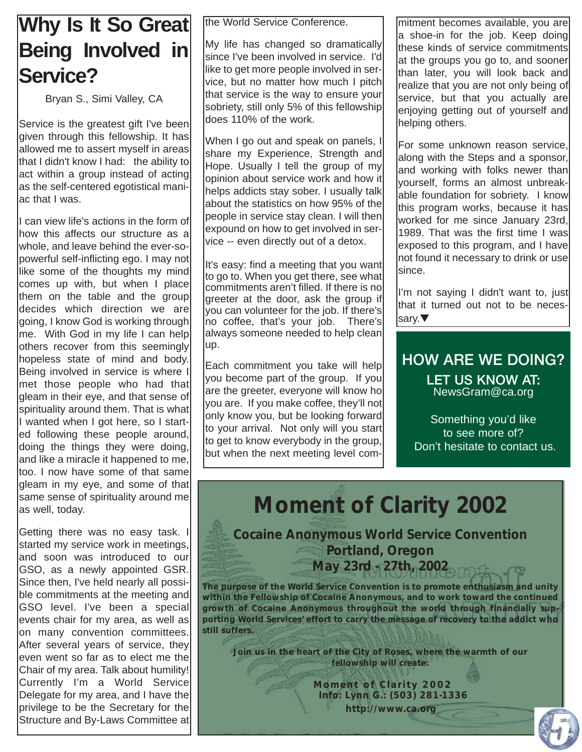# **Why Is It So Great Being Involved in Service?**

Bryan S., Simi Valley, CA

Service is the greatest gift I've been given through this fellowship. It has allowed me to assert myself in areas that I didn't know I had: the ability to act within a group instead of acting as the self-centered egotistical maniac that I was.

I can view life's actions in the form of how this affects our structure as a whole, and leave behind the ever-sopowerful self-inflicting ego. I may not like some of the thoughts my mind comes up with, but when I place them on the table and the group decides which direction we are going, I know God is working through me. With God in my life I can help others recover from this seemingly hopeless state of mind and body. Being involved in service is where I met those people who had that gleam in their eye, and that sense of spirituality around them. That is what I wanted when I got here, so I started following these people around, doing the things they were doing, and like a miracle it happened to me, too. I now have some of that same gleam in my eye, and some of that same sense of spirituality around me as well, today.

Getting there was no easy task. I started my service work in meetings, and soon was introduced to our GSO, as a newly appointed GSR. Since then, I've held nearly all possible commitments at the meeting and GSO level. I've been a special events chair for my area, as well as on many convention committees. After several years of service, they even went so far as to elect me the Chair of my area. Talk about humility! Currently I'm a World Service Delegate for my area, and I have the privilege to be the Secretary for the Structure and By-Laws Committee at

the World Service Conference.

My life has changed so dramatically since I've been involved in service. I'd like to get more people involved in service, but no matter how much I pitch that service is the way to ensure your sobriety, still only 5% of this fellowship does 110% of the work.

When I go out and speak on panels, I share my Experience, Strength and Hope. Usually I tell the group of my opinion about service work and how it helps addicts stay sober. I usually talk about the statistics on how 95% of the people in service stay clean. I will then expound on how to get involved in service -- even directly out of a detox.

It's easy: find a meeting that you want to go to. When you get there, see what commitments aren't filled. If there is no greeter at the door, ask the group if you can volunteer for the job. If there's no coffee, that's your job. There's always someone needed to help clean up.

Each commitment you take will help you become part of the group. If you are the greeter, everyone will know ho you are. If you make coffee, they'll not only know you, but be looking forward to your arrival. Not only will you start to get to know everybody in the group, but when the next meeting level commitment becomes available, you are a shoe-in for the job. Keep doing these kinds of service commitments at the groups you go to, and sooner than later, you will look back and realize that you are not only being of service, but that you actually are enjoying getting out of yourself and helping others.

For some unknown reason service, along with the Steps and a sponsor, and working with folks newer than yourself, forms an almost unbreakable foundation for sobriety. I know this program works, because it has worked for me since January 23rd, 1989. That was the first time I was exposed to this program, and I have not found it necessary to drink or use since.

I'm not saying I didn't want to, just that it turned out not to be necessary.▼

### **HOW ARE WE DOING? LET US KNOW AT:** NewsGram@ca.org

Something you'd like to see more of? Don't hesitate to contact us.

**Moment of Clarity 2002**

**Cocaine Anonymous World Service Convention Portland, Oregon May 23rd - 27th, 2002**

*The purpose of the World Service Convention is to promote enthusiasm and unity within the Fellowship of Cocaine Anonymous, and to work toward the continued growth of Cocaine Anonymous throughout the world through financially supporting World Services' effort to carry the message of recovery to the addict who still suffers.*

*Join us in the heart of the City of Roses, where the warmth of our fellowship will create:*

> *Moment of Clarity 2002 Info: Lynn G.: (503) 281-1336 http://www.ca.org*

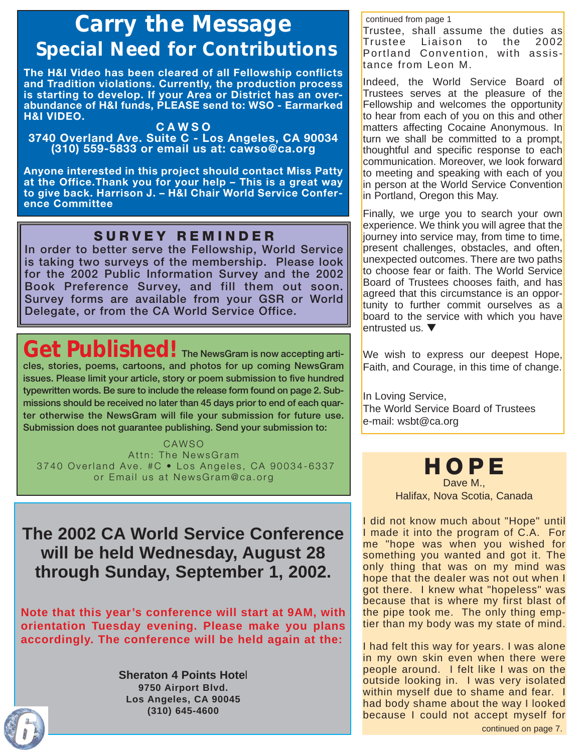# *Carry the Message Special Need for Contributions*

**The H&I Video has been cleared of all Fellowship conflicts and Tradition violations. Currently, the production process is starting to develop. If your Area or District has an overabundance of H&I funds, PLEASE send to: WSO - Earmarked H&I VIDEO.**

#### **CAWSO**

**3740 Overland Ave. Suite C - Los Angeles, CA 90034 (310) 559-5833 or email us at: cawso@ca.org**

**Anyone interested in this project should contact Miss Patty at the Office.Thank you for your help – This is a great way to give back. Harrison J. – H&I Chair World Service Conference Committee**

### **SURVEY REMINDER**

**In order to better serve the Fellowship, World Service is taking two surveys of the membership. Please look for the 2002 Public Information Survey and the 2002 Book Preference Survey, and fill them out soon. Survey forms are available from your GSR or World Delegate, or from the CA World Service Office.**

# Get Published! The NewsGram is now accepting arti-

**cles, stories, poems, cartoons, and photos for up coming NewsGram issues. Please limit your article, story or poem submission to five hundred typewritten words. Be sure to include the release form found on page 2. Submissions should be received no later than 45 days prior to end of each quarter otherwise the NewsGram will file your submission for future use. Submission does not guarantee publishing. Send your submission to:** 

CAWSO Attn: The NewsGram 3740 Overland Ave. #C • Los Angeles, CA 90034-6337 or Email us at NewsGram@ca.org

**The 2002 CA World Service Conference will be held Wednesday, August 28 through Sunday, September 1, 2002.** 

**Note that this year's conference will start at 9AM, with orientation Tuesday evening. Please make you plans accordingly. The conference will be held again at the:**

> **Sheraton 4 Points Hote**l **9750 Airport Blvd. Los Angeles, CA 90045 (310) 645-4600**

#### continued from page 1

Trustee, shall assume the duties as Trustee Liaison to the 2002 Portland Convention, with assistance from Leon M.

Indeed, the World Service Board of Trustees serves at the pleasure of the Fellowship and welcomes the opportunity to hear from each of you on this and other matters affecting Cocaine Anonymous. In turn we shall be committed to a prompt, thoughtful and specific response to each communication. Moreover, we look forward to meeting and speaking with each of you in person at the World Service Convention in Portland, Oregon this May.

Finally, we urge you to search your own experience. We think you will agree that the journey into service may, from time to time, present challenges, obstacles, and often, unexpected outcomes. There are two paths to choose fear or faith. The World Service Board of Trustees chooses faith, and has agreed that this circumstance is an opportunity to further commit ourselves as a board to the service with which you have entrusted us. ▼

We wish to express our deepest Hope, Faith, and Courage, in this time of change.

In Loving Service, The World Service Board of Trustees e-mail: wsbt@ca.org

> **HOPE** Dave M., Halifax, Nova Scotia, Canada

I did not know much about "Hope" until I made it into the program of C.A. For me "hope was when you wished for something you wanted and got it. The only thing that was on my mind was hope that the dealer was not out when I got there. I knew what "hopeless" was because that is where my first blast of the pipe took me. The only thing emptier than my body was my state of mind.

I had felt this way for years. I was alone in my own skin even when there were people around. I felt like I was on the outside looking in. I was very isolated within myself due to shame and fear. I had body shame about the way I looked because I could not accept myself for



continued on page 7.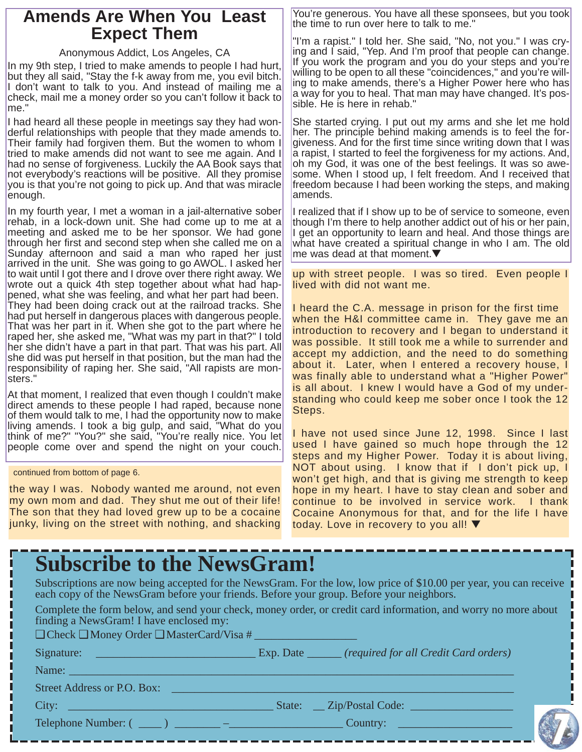### **Amends Are When You Least Expect Them**

#### Anonymous Addict, Los Angeles, CA

In my 9th step, I tried to make amends to people I had hurt, but they all said, "Stay the f-k away from me, you evil bitch. I don't want to talk to you. And instead of mailing me a check, mail me a money order so you can't follow it back to me."

I had heard all these people in meetings say they had wonderful relationships with people that they made amends to. Their family had forgiven them. But the women to whom I tried to make amends did not want to see me again. And I had no sense of forgiveness. Luckily the AA Book says that not everybody's reactions will be positive. All they promise you is that you're not going to pick up. And that was miracle enough.

In my fourth year, I met a woman in a jail-alternative sober rehab, in a lock-down unit. She had come up to me at a meeting and asked me to be her sponsor. We had gone through her first and second step when she called me on a Sunday afternoon and said a man who raped her just arrived in the unit. She was going to go AWOL. I asked her to wait until I got there and I drove over there right away. We wrote out a quick 4th step together about what had happened, what she was feeling, and what her part had been. They had been doing crack out at the railroad tracks. She had put herself in dangerous places with dangerous people. That was her part in it. When she got to the part where he raped her, she asked me, "What was my part in that?" I told her she didn't have a part in that part. That was his part. All she did was put herself in that position, but the man had the responsibility of raping her. She said, "All rapists are monsters."

At that moment, I realized that even though I couldn't make direct amends to these people I had raped, because none of them would talk to me, I had the opportunity now to make living amends. I took a big gulp, and said, "What do you think of me?" "You?" she said, "You're really nice. You let people come over and spend the night on your couch.

continued from bottom of page 6.

the way I was. Nobody wanted me around, not even my own mom and dad. They shut me out of their life! The son that they had loved grew up to be a cocaine junky, living on the street with nothing, and shacking

You're generous. You have all these sponsees, but you took the time to run over here to talk to me."

"I'm a rapist." I told her. She said, "No, not you." I was crying and I said, "Yep. And I'm proof that people can change. If you work the program and you do your steps and you're willing to be open to all these "coincidences," and you're willing to make amends, there's a Higher Power here who has a way for you to heal. That man may have changed. It's possible. He is here in rehab."

She started crying. I put out my arms and she let me hold her. The principle behind making amends is to feel the forgiveness. And for the first time since writing down that I was a rapist, I started to feel the forgiveness for my actions. And, oh my God, it was one of the best feelings. It was so awesome. When I stood up, I felt freedom. And I received that freedom because I had been working the steps, and making amends.

I realized that if I show up to be of service to someone, even though I'm there to help another addict out of his or her pain, I get an opportunity to learn and heal. And those things are what have created a spiritual change in who I am. The old me was dead at that moment.▼

up with street people. I was so tired. Even people I lived with did not want me.

I heard the C.A. message in prison for the first time when the H&I committee came in. They gave me an introduction to recovery and I began to understand it was possible. It still took me a while to surrender and accept my addiction, and the need to do something about it. Later, when I entered a recovery house, I was finally able to understand what a "Higher Power" is all about. I knew I would have a God of my understanding who could keep me sober once I took the 12 Steps.

I have not used since June 12, 1998. Since I last used I have gained so much hope through the 12 steps and my Higher Power. Today it is about living, NOT about using. I know that if I don't pick up, I won't get high, and that is giving me strength to keep hope in my heart. I have to stay clean and sober and continue to be involved in service work. I thank Cocaine Anonymous for that, and for the life I have today. Love in recovery to you all! ▼

| <b>Subscribe to the NewsGram!</b>                                                                               |                                                                                                                    |
|-----------------------------------------------------------------------------------------------------------------|--------------------------------------------------------------------------------------------------------------------|
| each copy of the NewsGram before your friends. Before your group. Before your neighbors.                        | Subscriptions are now being accepted for the NewsGram. For the low, low price of \$10.00 per year, you can receive |
| finding a NewsGram! I have enclosed my:<br>$\Box$ Check $\Box$ Money Order $\Box$ MasterCard/Visa #             | Complete the form below, and send your check, money order, or credit card information, and worry no more about     |
|                                                                                                                 |                                                                                                                    |
| Name:                                                                                                           |                                                                                                                    |
| Street Address or P.O. Box:                                                                                     |                                                                                                                    |
| City: Executive Contract of the Contract of the Contract of the Contract of the Contract of the Contract of the | State: _ Zip/Postal Code: _ _ _ _ _ _ _                                                                            |
|                                                                                                                 | Country:                                                                                                           |